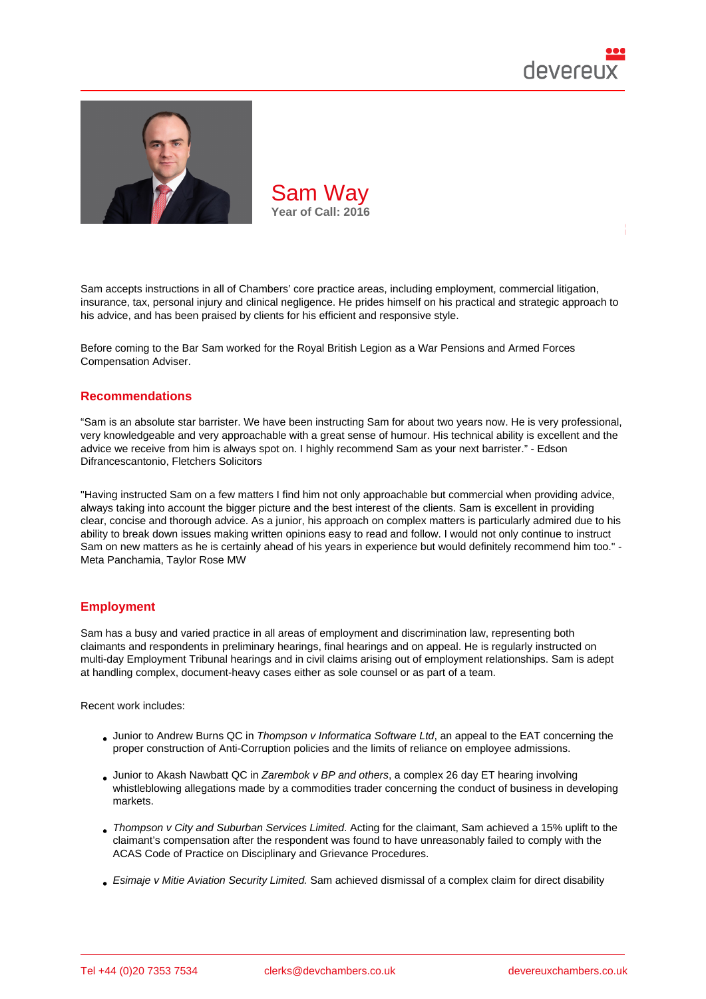

Sam accepts instructions in all of Chambers' core practice areas, including employment, commercial litigation, insurance, tax, personal injury and clinical negligence. He prides himself on his practical and strategic approach to his advice, and has been praised by clients for his efficient and responsive style.

Before coming to the Bar Sam worked for the Royal British Legion as a War Pensions and Armed Forces Compensation Adviser.

#### Recommendations

"Sam is an absolute star barrister. We have been instructing Sam for about two years now. He is very professional, very knowledgeable and very approachable with a great sense of humour. His technical ability is excellent and the advice we receive from him is always spot on. I highly recommend Sam as your next barrister." - Edson Difrancescantonio, Fletchers Solicitors

"Having instructed Sam on a few matters I find him not only approachable but commercial when providing advice, always taking into account the bigger picture and the best interest of the clients. Sam is excellent in providing clear, concise and thorough advice. As a junior, his approach on complex matters is particularly admired due to his ability to break down issues making written opinions easy to read and follow. I would not only continue to instruct Sam on new matters as he is certainly ahead of his years in experience but would definitely recommend him too." - Meta Panchamia, Taylor Rose MW

### **Employment**

Sam has a busy and varied practice in all areas of employment and discrimination law, representing both claimants and respondents in preliminary hearings, final hearings and on appeal. He is regularly instructed on multi-day Employment Tribunal hearings and in civil claims arising out of employment relationships. Sam is adept at handling complex, document-heavy cases either as sole counsel or as part of a team.

Recent work includes:

- Junior to Andrew Burns QC in Thompson v Informatica Software Ltd, an appeal to the EAT concerning the proper construction of Anti-Corruption policies and the limits of reliance on employee admissions.
- Junior to Akash Nawbatt QC in Zarembok v BP and others, a complex 26 day ET hearing involving whistleblowing allegations made by a commodities trader concerning the conduct of business in developing markets.
- Thompson v City and Suburban Services Limited. Acting for the claimant, Sam achieved a 15% uplift to the claimant's compensation after the respondent was found to have unreasonably failed to comply with the ACAS Code of Practice on Disciplinary and Grievance Procedures.
- [Esimaje v Mitie Aviation Security Limited.](https://assets.publishing.service.gov.uk/media/6099112be90e073576198bae/Miss_A_Thomspon_-v-_City_and_Suburban_Services_Ltd.pdf) Sam achieved dismissal of a complex claim for direct disability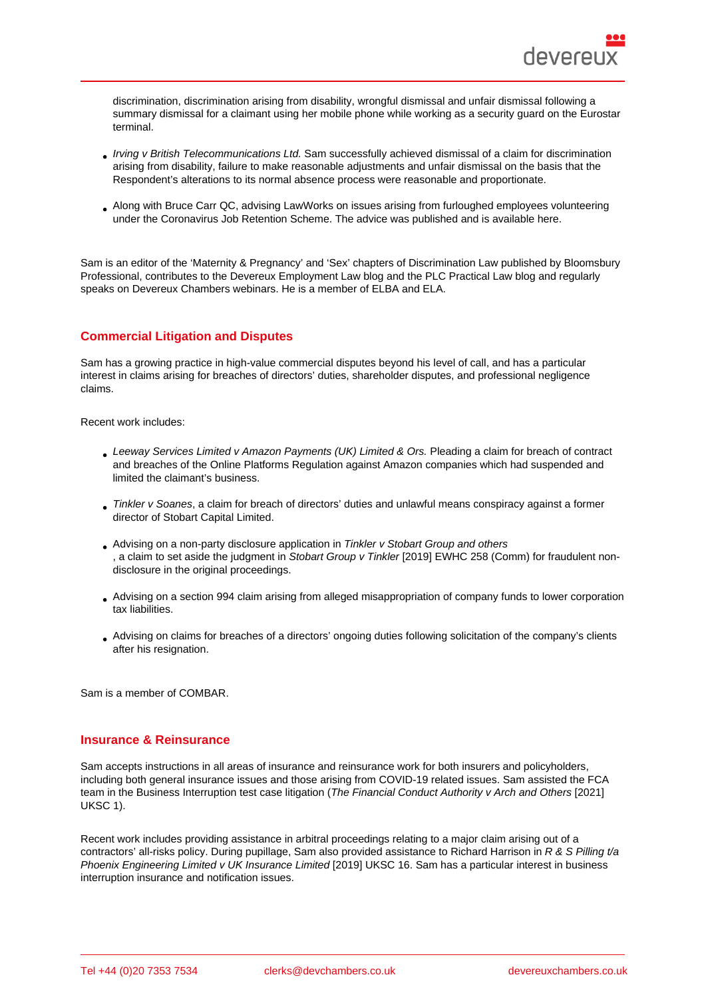discrimination, discrimination arising from disability, wrongful dismissal and unfair dismissal following a summary dismissal for a claimant using her mobile phone while working as a security guard on the Eurostar terminal.

- Irving v British Telecommunications Ltd. Sam successfully achieved dismissal of a claim for discrimination arising from disability, failure to make reasonable adjustments and unfair dismissal on the basis that the Respondent's alterations to its normal absence process were reasonable and proportionate.
- [Along with Bruce Carr QC, advising Law](https://assets.publishing.service.gov.uk/media/5e4bc728e90e074dc98071dd/Ms_Z_Irving_v_British_Telecommunications_Ltd_-_2402278_2019_-_Judgment.pdf)Works on issues arising from furloughed employees volunteering under the Coronavirus Job Retention Scheme. The advice was published and is available here.

Sam is an editor of the 'Maternity & Pregnancy' and 'Sex' chapters of Discrimination Law published by Bloomsbury Professional, contributes to the Devereux Employment Law blog and the PLC Practical Law blog [and](https://www.lawworks.org.uk/sites/default/files/files/LawWorks Furlough Advice.pdf) regularly speaks on Devereux Chambers webinars. He is a member of ELBA and ELA.

# Commercial Litigation and Disputes

Sam has a growing practice in high-value commercial disputes beyond his level of call, and has a particular interest in claims arising for breaches of directors' duties, shareholder disputes, and professional negligence claims.

Recent work includes:

- Leeway Services Limited v Amazon Payments (UK) Limited & Ors. Pleading a claim for breach of contract and breaches of the Online Platforms Regulation against Amazon companies which had suspended and limited the claimant's business.
- Tinkler v Soanes, a claim for breach of directors' duties and unlawful means conspiracy against a former director of Stobart Capital Limited.
- Advising on a non-party disclosure application in Tinkler v Stobart Group and others , a claim to set aside the judgment in Stobart Group v Tinkler [2019] EWHC 258 (Comm) for fraudulent nondisclosure in the original proceedings.
- Advising on a section 994 claim arising from alleged misappropriation of company funds to lower corporation tax liabilities.
- Advising on claims for breaches of a directors' ongoing duties following solicitation of the company's clients after his resignation.

Sam is a member of COMBAR.

### Insurance & Reinsurance

Sam accepts instructions in all areas of insurance and reinsurance work for both insurers and policyholders, including both general insurance issues and those arising from COVID-19 related issues. Sam assisted the FCA team in the Business Interruption test case litigation (The Financial Conduct Authority v Arch and Others [2021] UKSC 1).

Recent work includes providing assistance in arbitral proceedings relating to a major claim arising out of a contractors' all-risks policy. During pupillage, Sam also provided assistance to Richard Harrison in R & S Pilling t/a Phoenix Engineering Limited v UK Insurance Limited [2019] UKSC 16. Sam has a particular interest in business interruption insurance and notification issues.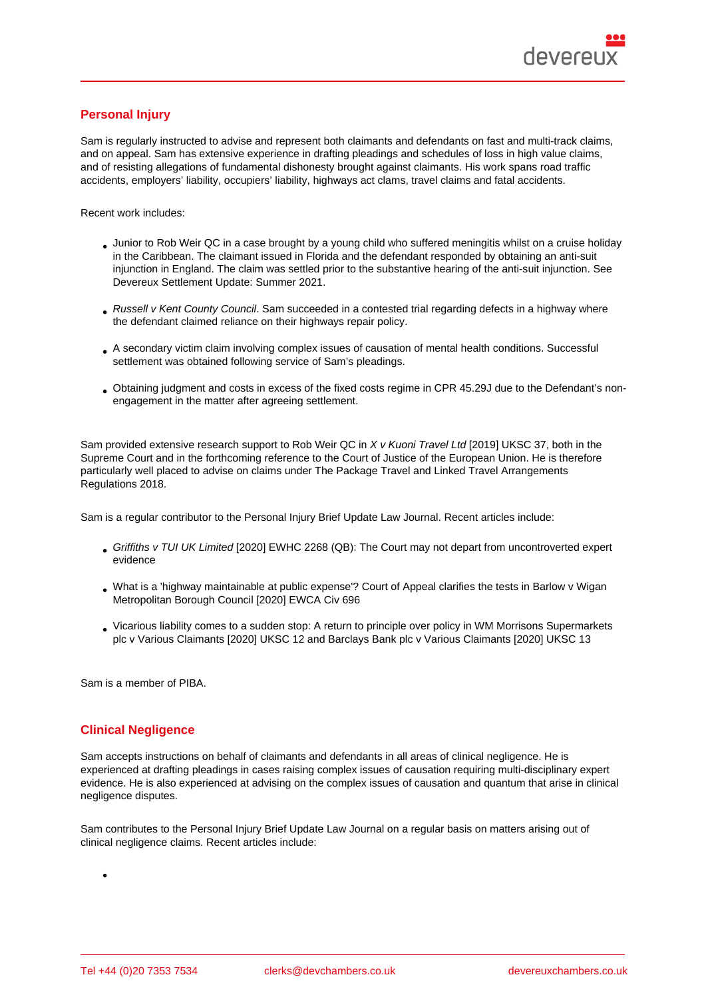# Personal Injury

Sam is regularly instructed to advise and represent both claimants and defendants on fast and multi-track claims, and on appeal. Sam has extensive experience in drafting pleadings and schedules of loss in high value claims, and of resisting allegations of fundamental dishonesty brought against claimants. His work spans road traffic accidents, employers' liability, occupiers' liability, highways act clams, travel claims and fatal accidents.

Recent work includes:

- Junior to Rob Weir QC in a case brought by a young child who suffered meningitis whilst on a cruise holiday in the Caribbean. The claimant issued in Florida and the defendant responded by obtaining an anti-suit injunction in England. The claim was settled prior to the substantive hearing of the anti-suit injunction. See Devereux Settlement Update: Summer 2021.
- Russell v Kent County Council. Sam succeeded in a contested trial regarding defects in a highway where the defendant claimed reliance on their highways repair policy.
- [A secondary victim claim involving complex is](https://www.devereuxchambers.co.uk/resources/blog/personal-injury/view/devereux-personal-injury-and-clinical-negligence-settlement-update-summer-2021-PI)sues of causation of mental health conditions. Successful settlement was obtained following service of Sam's pleadings.
- Obtaining judgment and costs in excess of the fixed costs regime in CPR 45.29J due to the Defendant's nonengagement in the matter after agreeing settlement.

Sam provided extensive research support to Rob Weir QC in X v Kuoni Travel Ltd [2019] UKSC 37, both in the Supreme Court and in the forthcoming reference to the Court of Justice of the European Union. He is therefore particularly well placed to advise on claims under The Package Travel and Linked Travel Arrangements Regulations 2018.

Sam is a regular contributor to the Personal Injury Brief Update Law Journal. Recent articles include:

- Griffiths v TUI UK Limited [2020] EWHC 2268 (QB): The Court may not depart from uncontroverted expert evidence
- What is a 'highway maintainable at public expense'? Court of Appeal clarifies the tests in Barlow v Wigan [Metropolitan Borough Coun](http://www.pibulj.com/content/law-journal-summaries/news-category-2-53514/5188-griffiths-v-tui-uk-limited-2020-ewhc-2268-qb-the-court-may-not-depart-from-uncontroverted-expert-evidence-sam-way-devereux-chambers)cil [2020] EWCA Civ 696
- Vicarious liability comes to a sudden stop: A return to principle over policy in WM Morrisons Supermarkets [plc v Various Claimants \[2020\] UKSC 12 and Barclay](http://www.pibulj.com/content/law-journal-summaries/news-category-2-53514/5180-what-is-a-highway-maintainable-at-public-expense-court-of-appeal-clarifies-the-tests-in-barlow-v-wigan-metropolitan-borough-council-2020-ewca-civ-696-sam-way-devereux-chambers)s Bank plc v Various Claimants [2020] UKSC 13

Sam i[s a member of PIBA.](http://www.pibriefupdate.com/content/law-journal-summaries/news-category-2/5142-vicarious-liability-comes-to-a-sudden-stop-sam-way-devereux-chambers)

### Clinical Negligence

Sam accepts instructions on behalf of claimants and defendants in all areas of clinical negligence. He is experienced at drafting pleadings in cases raising complex issues of causation requiring multi-disciplinary expert evidence. He is also experienced at advising on the complex issues of causation and quantum that arise in clinical negligence disputes.

Sam contributes to the Personal Injury Brief Update Law Journal on a regular basis on matters arising out of clinical negligence claims. Recent articles include: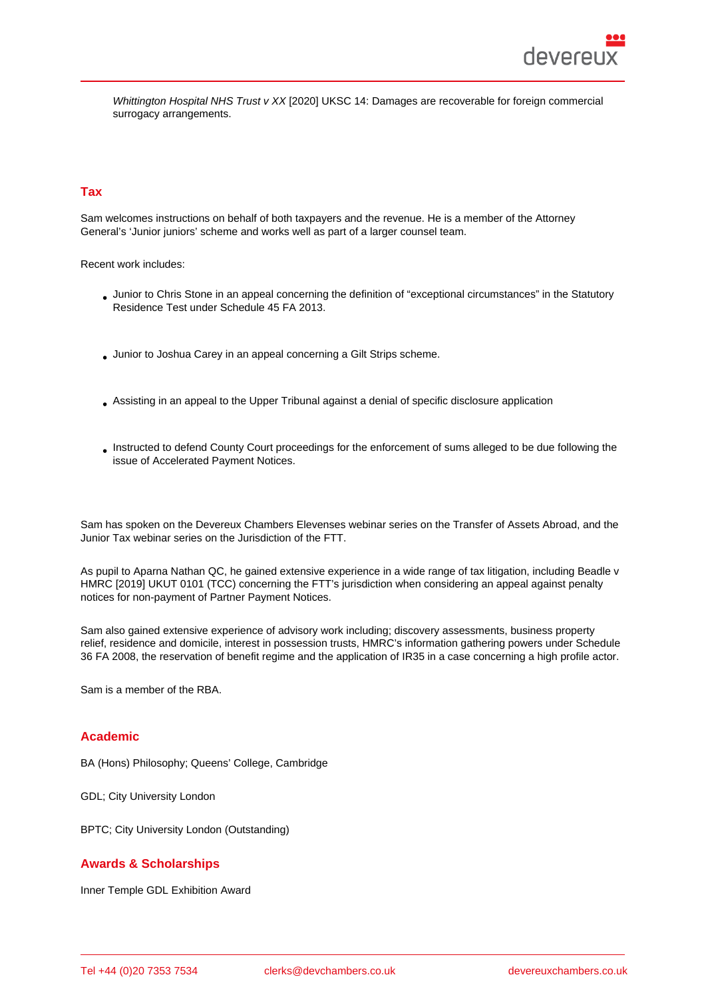Whittington Hospital NHS Trust v XX [2020] UKSC 14: Damages are recoverable for foreign commercial surrogacy arrangements.

# Tax

Sam welcomes instructions on behalf of both taxpayers and the revenue. He is a member of the Attorney General's 'Junior juniors' scheme and works well as part of a larger counsel team.

Recent work includes:

- Junior to Chris Stone in an appeal concerning the definition of "exceptional circumstances" in the Statutory Residence Test under Schedule 45 FA 2013.
- Junior to Joshua Carey in an appeal concerning a Gilt Strips scheme.
- Assisting in an appeal to the Upper Tribunal against a denial of specific disclosure application
- Instructed to defend County Court proceedings for the enforcement of sums alleged to be due following the issue of Accelerated Payment Notices.

Sam has spoken on the Devereux Chambers Elevenses webinar series on the Transfer of Assets Abroad, and the Junior Tax webinar series on the Jurisdiction of the FTT.

As pupil to Aparna Nathan QC, he gained extensive experience in a wide range of tax litigation, including Beadle v HMRC [2019] UKUT 0101 (TCC) concerning the FTT's jurisdiction when c[onsidering an appeal against pe](https://www.youtube.com/watch?v=ICZHrtMRgeA&feature=emb_title)nalty notices for non-payment of Partner Payment Notices.

Sam also gained extensive experience of advisory work including; discovery assessments, business property relief, residence and domicile, interest in possession trusts, HMRC's information gathering powers under Schedule 36 FA 2008, the reservation of benefit regime and the application of IR35 in a case concerning a high profile actor.

Sam is a member of the RBA.

#### Academic

BA (Hons) Philosophy; Queens' College, Cambridge

GDL; City University London

BPTC; City University London (Outstanding)

#### Awards & Scholarships

Inner Temple GDL Exhibition Award